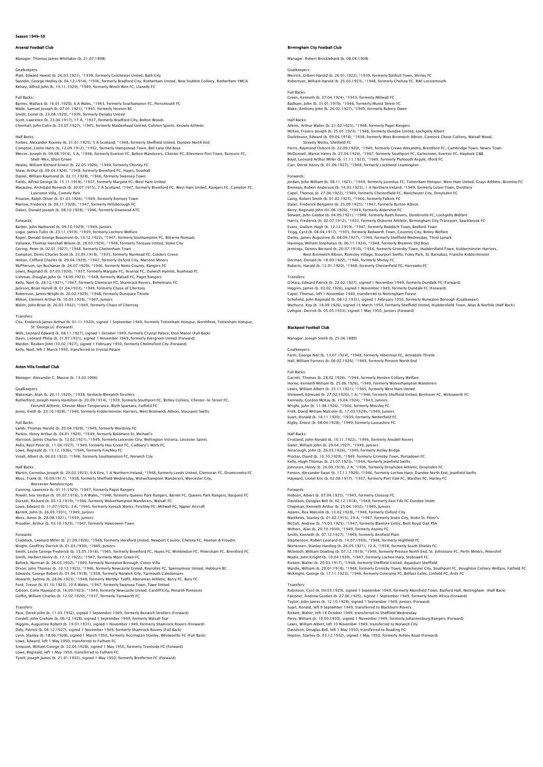# on 1949-50

### nal Football Club

Manager: Thomas James Whittaker (b. 21.07.1898)

Goalkeepers:<br>Platt, Edward Hewitt (b. 26.03.1921), \*1939, formerly Colchester United, Bath City<br>Swindin, George Hedley (b. 04.12.1914), \*1936, formerly Bradford City, Rotherham United, New Stubbin Colliery, Rotherham YMCA<br>

### Full Backs:

Barnes, Wallace (b. 16.01.1920), 6 A Wales, \*1943, formerly Southampton FC, Portsmouth FC Wade, Samuel Joseph (b. 07.01.1921), \*1945, formerly Hoxton BC<br>Smith, Lionel (b. 23.08.1920), \*1939, formerly Denaby United<br>Scott, Lawrence (b. 23.04.1917), 17 A, \*1937, formerly Bradford City, Bolton Woods<br>Chenhall, John

Half Backs:<br>Forbes, Alexander Rooney (b. 21.01.1925), 5 A Scotland, \*1948, formerly Sheffield United, Dundee North End<br>Compton, Leslie Harry (b. 12.09.1912), \*1932, formerly Hampstead Town, Bell Lane Old Boys<br>Mercer, Josep Healey, William Richard Ernest (b. 22.05.1926), \*1949, formerly Chorley FC

Shaw, Arthur (b. 09.04.1924), \*1948, formerly Brentford FC, Hayes, Southall<br>Daniel, William Raymond (b. 02.11.1928), \*1946, formerly Swansea Town<br>Fields, Alfred George (b. 15.11.1918), \*1937, formerly Margate FC, West Ham Lauriston Villa, Comely Park

Prouton, Ralph Oliver (b. 01.03.1926), \*1949, formerly Romsey Town Marlow, Frederick (b. 09.11.1928), \*1947, formerly Hillsborough FC Oakes, Donald Joseph (b. 08.10.1928), \*1946, formerly Downend ATC

### Forwards:

Barber, John Nathaniel (b. 09.10.1929), \*1949, Juniors Logie, James Tullis (b. 23.11.1919), \*1939, formerly Lochore Welfare<br>Roper, Donald George Beaumont (b. 14.12.1922), \*1947, formerly Southampton FC, Bitterne Nomads<br>Vallance, Thomas Henshall Wilson (b. 28.03.1924), \*1948, f Goring, Peter (b. 02.01.1927), \*1948, formerly Cheltenham Town Compton, Denis Charles Scott (b. 23.05.1918), \*1935, formerly Nunhead FC, Golders Green Holton, Clifford Charles (b. 29.04.1929), \*1947, formerly Oxford City, Marston Minors<br>McPherson, Ian Buchanan (b. 26.07.1920), \*1946, formerly Notts County, Rangers FC<br>Lewis, Reginald (b. 07.03.1920), \*1937, formerly Marga Kelly, Noel (b. 28.12.1921), \*1947, formerly Glentoran FC, Shamrock Rovers, Bohemians FC<br>Jackson, Brian Harvill (b. 01.04.1933), \*1949, formerly Chase of Chertsey<br>Robertson, James Wright (b. 20.02.1929), \*1948, formerly Du Walsh, John Brian (b. 26.03.1932), \*1949, formerly Chase of Chertsey

Transfers: Cox, Frederick James Arthur (b. 01.11.1920), signed 1 September 1949, formerly Tottenham Hotspur, Northfleet, Tottenham Hotspur, St. George LC (Forward) Wills, Leonard Edward (b. 08.11.1927), signed 1 October 1949, formerly Crystal Palace, Eton Manor (Full Back)

Davis, Leonard Philip (b. 31.07.1931), signed 1 November 1949, formerly Evergreen United (Forward)<br>Marden, Reuben John (10.02.1927), signed 1 February 1950, formerly Chelmsford City (Forward)<br>Kelly, Noel, left 1 March 1950

# Aston Villa Football Club

Manager: Alexander C. Massie (b. 13.03.1906)

### Goalkeepers:

Wakeman, Alan (b. 20.11.1920), \*1938, formerly Bloxwich Strollers Rutherford, Joseph Henry Hamilton (b. 20.09.1914), \*1939, formerly Southport FC, Birtley Colliery, Chester-le-Street FC,<br>Ferryhill Athletic, Chester Moor Temperance, Blyth Spartans, Fatfleld FC<br>Jones, Keith (b. 23.10.1928)

# Full Backs:

Lamb, Thomas Harold (b. 20.04.1928), \*1949, formerly Wordsley FC<br>Parkes, Henry Arthur (b. 04.01.1920), \*1949, formerly Boldmere St. Michael's<br>Harrison, James Charles (b. 12.02.1921), \*1949, formerly Leicester City, Welling

### Half Backs:

Martin, Cornelius Joseph (b. 20.03.1923), 9 A Eire, 1 A Northern Ireland, \*1948, formerly Leeds United, Glentoran FC, Drumcondra FC<br>Moss, Frank (b. 16.09.1917), \*1938, formerly Sheffield Wednesday, Wolverhampton Wanderers, Worcester Nondescripts<br>
Canning Lawrence (b. 01.11.1925). \*1947. formerly Paget Rangers

Canning, Lawrence (b. 01.11.1925), \*1947, formerly Paget Rangers<br>Powell, Ivor Verdun (b. 05.07.1916), 5 A Wales, \*1948, formerly Queens Park Rangers, Barnet FC, Queens Park Rangers, Bargoed FC<br>Dorsett, Richard (b. 03.12.19

### Proudler, Arthur (b. 03.10.1929), \*1947, formerly Halesowen Town

# Forwards:

Craddock, Leonard Miller (b. 21.09.1926), \*1948, formerly Hereford United, Newport County, Chelsea FC, Heenan & Froudin Wright, Geoffrey Derrick (b. 01.03.1930), \*1949, Juniors Smith, Leslie George Frederick (b. 13.05.1918), \*1945, formerly Brentford FC, Hayes FC, Wimbledon FC, Petersham FC, Brentford FC

Smith, Herbert Henry (b. 17.12.1922), \*1947, formerly Moor Green FC<br>Bullock, Norman (b. 26.03.1932), \*1949, formerly Nuneaton Borough, Coton Villa<br>Dixon, John Thomas (b. 10.12.1923), \*1946, formerly Newcastle United, Reyro

Ford, Trevor (b. 01.10.1923), 10 A Wales, \*1947, formerly Swansea Town, Tawe United<br>Gibson, Colin Hayward (b. 16.09.1923), \*1949, formerly Newcastle United, Cardiff City, Penarth Pontoons<br>Goffin, William Charles (b. 12.02.

Transfers:<br>Race, Derek John (b. 11.03.1932), signed 1 September 1949, formerly Boxwich Strollers (Forward)<br>Cordell, John Graham (b. 06.12.1928), signed 1 September 1949, formerly Walsall Star<br>Higgins, Augustine Robert (b. Lowe, Edward, left 1 May 1950, transferred to Fulham FC<br>Simpson, William George (b. 22.05.1928), signed 1 May 1950, formerly Trentside FC (Forward)<br>Lowe, Reginald, left 1 May 1950, transferred to Fulham FC<br>Tyrell, Joseph J

### Birmingham City Football Club

Manager: Robert Brocklebank (b. 08.04.1908)

Goalkeepers: Merrick, Gilbert Harold (b. 26.01.1922), \*1939, formerly Solihull Town, Shirley FC Robertson, William Harold (b. 25.03.1923), \*1948, formerly Chelsea FC, RAF Lossiemouth

Full Backs: Green, Kenneth (b. 27.04.1924), \*1943, formerly Millwall FC Badham, John (b. 31.01.1919), \*1946, formerly Muntz Street YC Blake, Anthony John (b. 26.02.1927), \*1949, formerly Rubery Owen

Half Backs: Atkins, Arthur Walter (b. 21.02.1925), \*1948, formerly Paget Rangers McKee, Francis Joseph (b. 25.01.1923), \*1948, formerly Dundee United, Lochgelly Albert Duckhouse, Edward (b. 09.04.1918), \*1938, formerly West Bromwich Albion, Cannock Chase Colliery, Walsall Wood, Streetly Works, Shelfield FC<br>Ferris, Raymond Osborn (b. 22.09.1920), \*1949, formerly Crewe Alexandra, Brentford FC, Cambridge Town, Newry Town<br>McDonnell, Martin Henry (b. 27.04.1924), \*1947, formerly Southport FC, Earlesto Carr, Derek Henry (b. 01.09.1927), \*1948, formerly Lockheed Leamington Forwards:<br>Jordan, John William (b. 08.11.1921), \*1949, formerly Juventus FC, Tottenham Hotspur, West Ham United, Grays Athletic, Bromley FC<br>Brennan, Robert Anderson (b. 14.03.1925), 1 A Northern Ireland, \*1949, formerly Lu

Capel, Thomas (b. 27.06.1922), \* 1949, formerly Chesterfield FC, Manchester City, Droylsden FC<br>Laing, Robert Smith (b. 01.02.1925), \*1946, formerly Falkirk FC<br>Slater, Frederick Benjamin (b. 25.09.1925), \*1947, formerly Bur Harris, Frederick (b. 02.07.1912), \*1933, formerly Osborne Athletic, Birmingham City Transport, Sparkbrook FC Evans, Gwilym Hugh (b. 12.12.1919), \*1947, formerly Redditch Town, Bedford Town<br>Trigg, Cyril (b. 08.04.1917), \*1935, formerly Bedworth Town, Coventry City, Binley Welfare<br>Dailey, James Augustine (b. 08.09.1927), \*1949, for Jennings, Dennis Bernard (b. 20.07.1910), \*1936, formerly Grimsby Town, Huddersfield Town, Kidderminster Harriers, West Bromwich Albion, Romsley Village, Stourport Swifts, Foley Park, St. Barnabas, Franche Kidderminster<br>Dorman, Donald (b. 18.09.1922), \*1946, formerly Shirley FC<br>Roberts, Harold (b. 12.01.1920), \*1948, formerly Chesterfi

Transfers: O'Hara, Edward Patrick (b. 22.02.1927), signed 1 November 1949, formerly Dundalk FC (Forward) Higgins, James (b. 03.02.1926), signed 1 November 1949, formerly Dundalk FC (Forward)<br>Capel, Thomas, left 1 November 1949, transferred to Nottingham Forest<br>Schofield, John Reginald (b. 08.12.1931), signed 1 February 1950, Warhurst, Roy (b. 18.09.1926), signed 15 March 1950, formerly Sheffield United, Huddersfield Town, Atlas & Norfolk (Half Back) Lythgoe, Derrick (b. 05.05.1933), signed 1 May 1950, Juniors (Forward)

## **Black**pool Football Club

Manager: Joseph Smith (b. 25.06.1889)

Goalkeepers: Farm, George Neil (b. 13.07.1924), \*1948, formerly Hibernian FC, Armadale Thistle Hall, William Furness (b. 06.02.1926), \*1949, formerly Preston North End

### Full Backs:

Garrett, Thomas (b. 28.02.1926), \*1944, formerly Horden Colliery Welfare Horne, Kenneth William (b. 25.06.1926), \*1949, formerly Wolverhampton Wanderers<br>Lewis, William Albert (b. 23.11.1921), \*1945, formerly West Ham United<br>Shimwell, Edmund (b. 27.02.1920), 1 A. \*1946, formerly Sheffield United Kennedy, Gordon McKay (b. 15.04.1924), \*1943, Juniors Wright, John (b. 11.08.1926), \*1946, formerly Mossley FC<br>Frith, David William Malcolm (b. 17.03.1929), \*1949, Juniors<br>Suart, Ronald (b. 18.11.1920), \*1939, formerly Netherfield FC<br>Riqby, Ernest (b. 08.04.1928), \*1949, form

Half Backs:<br>Crosland, John Ronald (b. 10.11.1922), \*1946, formerly Ansdell Rovers Crosland, John Ronald (b. 10.11.1922), \*1946, formerly Ansdell Rovers<br>Slater, William John (b. 29.04.1927), \*1949, Juniors<br>Ainscough, John (b. 26.03.1926), \*1949, formerly Astley Bridge<br>Proctor, David (b. 10.10.1929), \*194 Kelly, Hugh Thomas (b. 23.07.1923), \*1944, formerly Jeanfield Swifts<br>Johnston, Henry (b. 26.09.1919), 2 A, \*1936, formerly Droylsden Athletic, Droylsden FC<br>Fenton, Alexander Ewan (b. 17.11.1929), \*1946, formerly Lochee Har

Forwards:<br>Hobson, Albert (b. 07.04.1925), \*1945, formerly Glosson FC Hobson, Albert (b. 07.04.1925), \*1945, formerly Glossop FC<br>Davidson, Douglas Bell (b. 02.12.1918), \*1948, formerly East Fife FC Dundee Violet<br>Chapman, Kenneth Arthur (b. 25.04.1932), \*1949, Juniors<br>Adams, Rex Malcolm (b. 1 Withers, Alan (b. 20.10.1930), \*1949, formerly Aspley FC<br>Smith, Kenneth (b. 07.12.1927), \*1949, formerly Annfield Plain<br>Stephenson, Robert Leonard (b. 14.07.1930), \*1948, formerly Highfield FC<br>Moriensen, Stanley Harding (b Mudie, John Knight (b. 10.04.1930), \*1947, formerly Lochee Harp, Stobswell FC<br>Rickett, Walter (b. 20.03.1917), \*1948, formerly Sheffield United, Aqueduct Sheffield<br>Wardle, William (b. 20.01.1918), \*1948, formerly Crimsby T

Transfers:<br>Robinson, Cyril (b. 04.03.1929), signed 1 September 1949, formerly Mansfield Town, Basford Hall, Nottingham (Half Back<br>Falconer, Andrew Gordon (b. 27.06.1925), signed 1 September 1949, formerly South Africa (Fo Suart, Ronald, left 9 September 1949, transferred to Blackburn Rovers<br>Rickett, Walter, left 18 October 1949, transferred to Sheffield Wednesday<br>Perry, William (b. 10.09.1930), signed 1 November 1949, formerly Johannesburg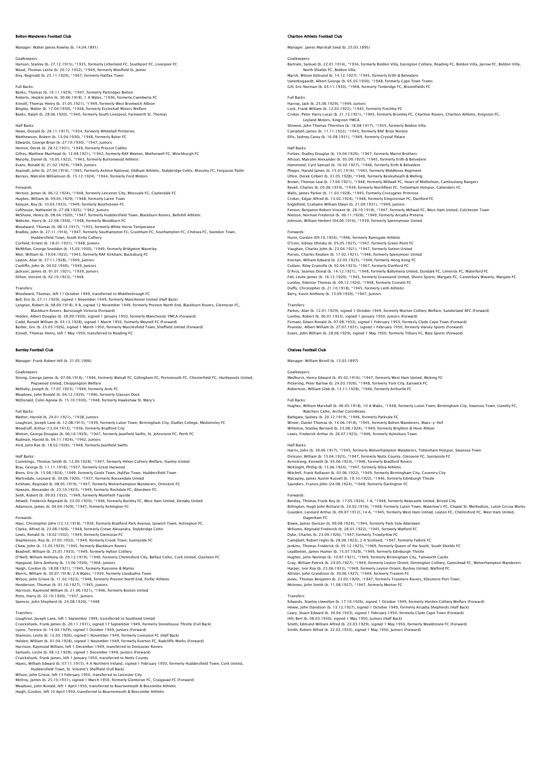# erers Football Club

Manager: Walter James Rowley (b. 14.04.1891)

Goalkeepers: Hanson, Stanley (b. 27.12.1915), \*1935, formerly Litherland FC, Southport FC, Liverpool FC Wood, Thomas Leslie (b. 20.12.1932), \*1949, formerly Woolfold St. James Elvy, Reginald (b. 25.11.1920), \*1947, formerly Halifax Town

### Full Backs:

Banks, Thomas (b. 10.11.1929), \*1947, formerly Partridges Bolton Roberts, Hopkin John (b. 30.06.1918), 1 A Wales, \*1936, formerly Cwmbwrla FC Kinsell, Thomas Henry (b. 31.05.1921), \*1949, formerly West Bromwich Albion<br>Bingley, Walter (b. 17.04.1930), \*1948, formerly Eccleshall Miners Welfare<br>Banks, Ralph (b. 28.06.1920), \*1940, formerly South Liverpool, Farnwort

# Half Backs

Howe, Donald (b. 26.11.1917), \*1934, formerly Whitehall Printeries Matthewson, Robert (b. 13.04.1930), \*1948, formerly Byker FC<br>Edwards, George Brian (b. 27.10.1930), \*1947, Juniors<br>Hennin, Derek (b. 28.12.1931), \*1949, formerly Prescot Cables<br>Gillies, Matthew Muirhead (b. 12.08.1921), \*1 Evans, Ronald (b. 21.02.1929), \*1949, Juniors<br>Aspinall, John (b. 27.04.1916), \*1945, formerly Ashton National, Oldham Athletic, Stalybridge Celtic, Mossley FC, Ferguson Pailin<br>Barrass, Malcolm Williamson (b. 15.12.1924), \*

### Forwards:

Hernon, James (b. 06.12.1924), \*1948, formerly Leicester City, Mossvale FC, Clydesdale FC Hughes, William (b. 09.05.1929), \*1948, formerly Larne Town<br>Kenyon, Roy (b. 10.03.1933), \*1949, formerly Boothstown FC<br>Lofthouse, Nathaniel (b. 27.08.1925), \*1942, Juniors<br>Mébster, Harry (b. 22.08.1930), \*1947, formerly Wo Woodward, Thomas (b. 08.12.1917), \*1935, formerly White Horse Temperance<br>Bradley, John (b. 27.11.1916), \*1947, formerly Southampton FC, Grantham FC, Southampton FC, Chelsea FC, Swindon Town,<br>Hotel (b. 1986), Huddersfield T McMillan, George Sneddon (b. 15.03.1930), \*1949, formerly Bridgeton Waverley Moir, William (b. 19.04.1922), \*1943, formerly RAF Kirkham, Bucksburg FC<br>Layton, Alan (b. 27.11.1928), \*1949, Juniors<br>Cunliffe, John (b. 04.02.1930), \*1949, Juniors<br>Jackson, James (b. 01.01.1921), \*1939, Juniors

### Transfers:

Woodward, Thomas, left 11 October 1949, transferred to Middlesbrough FC Bell, Eric (b. 27.11.1929), signed 1 November 1949, formerly Manchester United (Half Back) Langton, Robert (b. 08.09.1918), 9 A, signed 12 November 1949, formerly Preston North End, Blackburn Rovers, Glentoran FC, Blackburn Rovers, Burscough Victoria (Forward)<br>Holden, Albert Douglas (b. 28.09.1930), signed 1 January 1950, formerly Manchester YMCA (Forward)<br>Codd, Ronald William (b. 03.12.1928), signed 1 March 1950, formerly Meynell F

# Burnley Football Club

Manager: Frank Robert Hill (b. 21.05.1906)

Dillon, Vincent (b. 02.10.1923), \*1948

Goalkeepers: Strong, George James (b. 07.06.1916), \*1946, formerly Walsall FC, Gillingham FC, Portsmouth FC, Chesterfield FC, Hartlepools United, Pegswood United, Choppington Welfare McNulty, Joseph (b. 17.07.1923), \*1949, formerly Ards FC Meadows, John Ronald (b. 04.12.1920), \*1946, formerly Glasson Dock

McDonald, Colin Agnew (b. 15.10.1930), \*1948, formerly Hawkshaw St. Mary's

# Full Backs:

Mather, Harold (b. 24.01.1921), \*1938, Juniors Loughran, Joseph Lane (b. 12.08.1915), \*1939, formerly Luton Town, Birmingham City, Dudley College, Medomsley FC Woodruff, Arthur (12.04.1913), \*1936, formerly Bradford City<br>Winton, George Douglas (b. 06.10.1929), \*1947, formerly Jeanfield Swifts, St. Johnstone FC, Perth FC<br>Rudman, Harold (b. 04.11.1924), \*1942, Juniors Aird, John Rae (b. 18.02.1926), \*1948, formerly Jeanfield Swifts

### Half Backs:

Cummings, Thomas Smith (b. 12.09.1928), \*1947, formerly Hilton Colliery Welfare, Stanley United Bray, George (b. 11.11.1918), \*1937, formerly Great Harwood<br>Binns, Eric (b. 13.08.1924), \*1949, formerly Goole Town, Halifax Town, Huddersfield Town<br>Martindale, Leonard (b. 30.06.1920), \*1937, formerly Rossendale United Kirkham, Reginald (b. 08.05.1919), \*1947, formerly Wolverhampton Wanderers, Ormskirk FC Hawson, Alexander (b. 23.10.1923), \*1949, formerly Rochdale FC, Aberdeen FC<br>Seith, Robert (b. 09.03.1932), \*1949, formerly Monifieth Tayside<br>Attwell, Frederick Reginald (b. 23.03.1920), \*1946, formerly Burnley FC, West Ham

### Forwards:

Hays, Christopher John (12.12.1918), \*1939, formerly Bradford Park Avenue, Ipswich Town, Ashington FC Clarke, Alfred (b. 23.08.1926), \*1948, formerly Crewe Alexandra, Stalybridge Celtic<br>Lewis, Ronald (b. 10.02.1932), \*1949, formerly Glentoran FC<br>Stephenson, Roy (b. 27.05.1932), \*1949, formerly Crook Town, Sunnyside FC Chew, John (b. 13.05.1920), \*1945, formerly Blackburn Rovers Beadnell, William (b. 25.01.1933), \*1949, formerly Hylton Colliery O'Neill, William Anthony (b. 29.12.1919), \*1949, formerly Chelmsford City, Belfast Celtic, Cork United, Glasheen FC<br>Hapgood, Edris Anthony (b. 13.06.1930), \*1948, Juniors<br>Haigh, Gordon (b. 18.08.1921), \*1945, formerly Rans Wilson, John Grieve (b. 11.02.1923), \*1948, formerly Preston North End, Forfar Athletic Henderson, Thomas (b. 01.10.1927), \*1945, Juniors<br>Harrison, Raymond William (b. 21.06.1921), \*1946, formerly Boston United<br>Potts, Harry (b. 22.10.1920), \*1937, Juniors<br>Spencer, John Shepherd (b. 24.08.1920), \*1948

Transfers:<br>Coughran, Joseph Lane, left 1 September 1949, transferred to Southend United<br>Cruickshank, Frank James (b. 20.11.1931), signed 17 September 1949, formerly Stonehouse Thistle (Full Back)<br>Lyons, Terence (b. 14.04.1 Holden, William (b. 01.04.1928), signed 1 November 1949, formerly Everton FC, Radcliffe Works (Forward)<br>Harrison, Raymond William, left 1 December 1949, transferred to Doncaster Rovers<br>Samuels, Leslie (b. 08.12.1928), sign Huddersfield Town, St. Vincent's Sheffield (Full Back)<br>Wilson, John Crieve, 1eft 13 February 1950, transferred to Leicester City<br>McIlroy, James (b. 25.10.1931), signed 1 March 1950, formerly Glentoran FC, Craigavad FC (For

# Charlton Athletic Football Club

Manager: James Marshall Seed (b. 25.03.1895)

Goalkeepers: Bartram, Samuel (b. 22.01.1914), \*1934, formerly Boldon Villa, Easington Colliery, Reading FC, Boldon Villa, Jarrow FC, Boldon Villa, North Shields FC, Boldon Villa Marsh, Wilson Edmund (b. 14.12.1927), \*1945, formerly Erith & Belvedere Uytenbogaardt, Albert George (b. 05.03.1930), \*1948, formerly Cape Town Trams Gill, Eric Norman (b. 03.11.1930), \*1948, formerly Tonbridge FC, Broomfields FC Full Backs: Harrop, Jack (b. 25.06.1929), \*1949, Juniors

Lock, Frank William (b. 12.03.1922), \*1945, formerly Finchley FC<br>Croker, Peter Harry Lucas (b. 21.12.1921), \*1945, formerly Bromley FC, Charlton Rovers, Charlton Athletic, Kingston FC,<br>Leyland Motors, Kingston YMCA<br>Shreeve Campbell, James (b. 11.11.1922), \*1945, formerly RAF Brize Norton Ellis, Sydney Carey (b. 16.08.1931), \*1949, formerly Crystal Palace

Half Backs: Forbes, Dudley Douglas (b. 19.04.1926), \*1947, formerly Marist Brothers Allison, Malcolm Alexander (b. 05.09.1927), \*1945, formerly Erith & Belvedere Hammond, Cyril Samuel (b. 10.02.1927), \*1946, formerly Kirih & Belvedere<br>Phipps, Harold James (b. 15.01.1916), \*1943, formerly Middlesex Regiment<br>Ufton, Derek Gilbert (b. 31.05.1928), \*1948, formerly Bexleyheath & Welling<br> Walls, James Parker (b. 11.03.1928), \*1945, formerly Crossgates Primrose<br>Croker, Edgar Alfred (b. 13.02.1924), \*1945, formerly Kingstonian FC, Dartford FC<br>Englefield, Grahame William Elwyn (b. 21.09.1931), \*1949, Juniors<br>F Johnson, William Herbert (04.06.1916), \*1939, formerly Spennymoor United

Forwards: Hurst, Gordon (09.10.1924), \*1946, formerly Ramsgate Athletic O'Linn, Sidney Olinsky (b. 05.05.1927), \*1947, formerly Green Point FC Vaughan, Charles John (b. 23.04.1921), \*1947, formerly Sutton United Purves, Charles Reuben (b. 17.02.1921), \*1946, formerly Spenymoor United<br>Kiernan, William Edward (b. 22.05.1925), \*1949, formerly Hong Kong FC<br>Cullum, Riley Granville (b. 02.04.1923), \*1947, formerly Bartford FC<br>D'Arcy, Se Fell, Leslie James (b. 16.12.1920), \*1945, formerly Gravesend United, Shorts Sports, Margate FC, Canterbury Waverly, Margate FC Lumley, Ilderton Thomas (b. 09.12.1924), \*1948, formerly Consett FC Duffy, Christopher (b. 21.10.1918), \*1945, formerly Leith Athletic Barry, Kevin Anthony (b. 13.09.1930), \*1947, Juniors

### **Transfers**

Parkes, Alan (b. 12.01.1929), signed 1 October 1949, formerly Murton Colliery Welfare, Sunderland AFC (Forward) Lumley, Robert (b. 06.01.1933), signed 1 January 1950, Juniors (Forward)<br>Firmani, Edwin Ronald (b. 07.08.1933), signed 1 February 1950, formerly Clyde Cape Town (Forward)<br>Pounder, Albert William (b. 27.07.1931), signed 1 F Evans, John William (b. 28.08.1929), signed 1 May 1950, formerly Tilbury FC, Bata Sports (Forward)

# Chelsea Football Club

Manager: William Birrell (b. 13.03.1897)

Goalkeepers:<br>Medhurst, Henry Edward (b. 05.02.1916), \*1947, formerly West Ham United, Woking FC<br>Pickering, Peter Barlow (b. 24.03.1926), \*1948, formerly York City, Earswick FC<br>Robertson, William Gibb (b. 13.11.1928), \*1946

### Full Backs:

Hughes, William Marshall (b. 06.03.1918), 10 A Wales, \*1948, formerly Luton Town, Birmingham City, Swansea Town, Llanelly FC,

Watchers Celtic, Archer Corinthians Bathgate, Sydney (b. 20.12.1919), \*1946, formerly Parkvale FC Winter, Daniel Thomas (b. 14.06.1918), \*1945, formerly Bolton Wanderers, Maes-y-Hof Willemse, Stanley Bernard (b. 23.08.1924), \*1949, formerly Brighton & Hove Albion Lewis, Frederick Arthur (b. 26.07.1923), \*1946, formerly Aylesbury Town

# Half Backs:

Harris, John (b. 30.06.1917), \*1945, formerly Wolverhampton Wanderers, Tottenham Hotspur, Swansea Town Dickson, William (b. 15.04.1923), \*1947, formerly Notts County, Glenavon FC, Sunnyside FC Armstrong, Kenneth (b. 03.06.1924), \*1946, formerly Bradford Rovers<br>McKnight, Phillip (b. 15.06.1924), \*1947, formerly Alloa Athletic<br>Mitchell, Frank Rollason (b. 03.06.1922), \*1949, formerly Birmingham City, Coventry City Saunders, Francis John (24.08.1924), \*1948, formerly Darlington FC

# Forwards:

Bentley, Thomas Frank Roy (b. 17.05.1924), 1 A, \*1948, formerly Newcastle United, Bristol City<br>Billington, Hugh John Richard (b. 24.02.1916), \*1948, formerly Luton Town, Waterlow's FC, Chapel St. Methodists, Luton Cocoa Wo Dagenham FC<br>Rowie, James Duncan (h. 09.08.1924). \*1944. formerly Park Vale Aberdeen Bowie, James Duncan (b. 09.08.1924), \*1944, formerly Park Vale Aberdeen<br>Williams, Reginald Frederick (b. 28.01.1922), \*1945, formerly Watford FC<br>Dyke, Charles (b. 23.09.1926), \*1947, formerly Troedyrhiw FC<br>Campbell, Robert

Hughes, John Norman (b. 10.07.1921), \*1949, formerly Birmingham City, Tamworth Castle<br>Gray, William Patrick (b. 24.05.1927), \*1949, formerly Leyton Orient, Dinnington Colliery, Gateshead FC, Wolverhampton Wanderers<br>Harper, McInnes, John Smith (b. 11.08.1927), \*1947, formerly Morton FC

Transfers: Edwards, Stanley Llewellyn (b. 17.10.1926), signed 1 October 1949, formerly Horden Colliery Welfare (Forward) Hewie, John Davidson (b. 13.1.2.1927), signed 1 October 1949, formerly Arcadia Shepherds (Half Back)<br>Leary, Stuart Edward (b. 30.04.1933), signed 1 February 1950, formerly Clyde Cape Town (Forward)<br>Hill, Bert (b. 08.03.193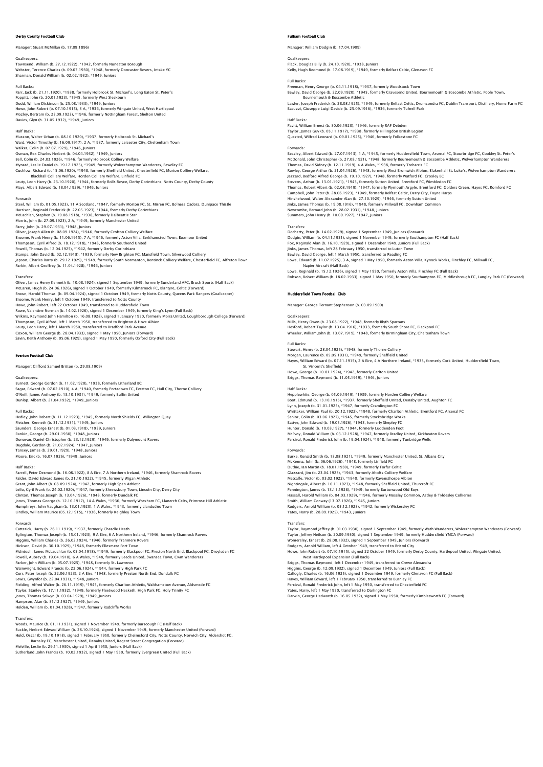# Derby County Football Club

Manager: Stuart McMillan (b. 17.09.1896)

Goalkeepers: Townsend, William (b. 27.12.1922), \*1942, formerly Nuneaton Borough Webster, Terence Charles (b. 09.07.1930), \*1948, formerly Doncaster Rovers, Intake YC Sharman, Donald William (b. 02.02.1932), \*1949, Juniors

Full Backs:<br>Parr, Jack (b. 21.11.1920), \*1938, formerly Holbrook St. Michael's, Long Eaton St. Peter's<br>Poppltt, John (b. 20.01.1923), \*1945, formerly West Sleekburn<br>Dodd, William Dickinson (b. 25.08.1933), \*1949, Juniors<br>H

### Half Backs:

Musson, Walter Urban (b. 08.10.1920), \*1937, formerly Holbrook St. Michael's<br>Ward, Victor Timothy (b. 16.09.1917), 2 A, \*1937, formerly Leicester City, Cheltenham Town<br>Walker, Colin (b. 07.07.1929), \*1946, Juniors<br>Osman, R Mynard, Leslie Daniel (b. 19.1.2.1925), \*1949, formerly Wolverhampton Wanderers, Bewdley FC<br>Cushlow, Richard (b. 15.06.1920), \*1948, formerly Sheffield United, Chesterfield FC, Murton Colliery Welfare,<br>Leuty, Leon Harry (b

Forwards:<br>Steel, William (b. 01.05.1923), 11 A Scotland, \*1947, formerly Morton FC, St. Mirren FC, Bo'ness Cadora, Dunipace Thistle<br>Harrison, Reginald Frederick (b. 22.05.1923), \*1944, formerly Derby Corinthians<br>McLachlan, Morris, John (b. 27.09.1923), 2 A, \*1949, formerly Manchester United<br>Parry, John (b. 29.07.1931), \*1948, Juniors<br>Oliver, Joseph Allen (b. 08.09.1924), \*1946, formerly Crofton Colliery Welfare<br>Broome, Frank Henry (b. 11.06. Powell, Thomas (b. 12.04.1925), \*1942, formerly Derby Corinthians<br>Stamps, John David (b. 02.12.1918), \*1939, formerly New Brighton FC, Mansfield Town, Silverwood Colliery<br>Jepson, Charles Barry (b. 29.12.1929), \*1949, forme

### **Transfers**

Oliver, James Henry Kenneth (b. 10.08.1924), signed 1 September 1949, formerly Sunderland AFC, Brush Sports (Half Back)<br>McLaren, Hugh (b. 24.06.1926), signed 1 October 1949, formerly Kilmarnock FC, Blantyre, Celtic (Forwar Howe, John Robert, left 22 October 1949, transferred to Huddersfield Town Rowe, Valentine Norman (b. 14.02.1926), signed 1 December 1949, formerly King's Lynn (Full Back)<br>Wilkins, Raymond John Hamilton (b. 16.08.1928), signed 1 January 1950, formerly Moira United, Loughborough College (Forward)<br>

# rton Football Club

Manager: Clifford Samuel Britton (b. 29.08.1909)

Goalkeepers: Burnett, George Gordon (b. 11.02.1920), \*1938, formerly Litherland BC Sagar, Edward (b. 07.02.1910), 4 A, \*1940, formerly Portadown FC, Everton FC, Hull City, Thorne Colliery O'Neill, James Anthony (b. 13.10.1931), \*1949, formerly Bulfin United Dunlop, Albert (b. 21.04.1932), \*1949, Juniors

### Full Backs:

Hedley, John Robert (b. 11.12.1923), \*1945, formerly North Shields FC, Willington Quay Fletcher, Kenneth (b. 31.12.1931), \*1949, Juniors Saunders, George Ernest (b. 01.03.1918), \*1939, Juniors Rankin, George (b. 29.01.1930), \*1948, Juniors<br>Donovan, Daniel Christopher (b. 23.12.1929), \*1949, formerly Dalymount Rovers<br>Dugdale, Gordon (b. 21.02.1924), \*1947, Juniors<br>Tansey, James (b. 29.01.1929), \*1949, Juniors<br>Moo

Half Backs:<br>Farrell, Peter Desmond (b. 16.08.1922), 8 A Eire, 7 A Northern Ireland, \*1946, formerly Shamrock Rovers<br>Falder, David Edward James (b. 21.10.1922), \*1945, formerly Wigan Athletic<br>Grant, John Albert (b. 08.09.19 Lello, Cyril Frank (b. 24.02.1920), \*1947, formerly Shrewsbury Town, Lincoln City, Derry City<br>Clinton, Thomas Joseph (b. 13.04.1926), \*1948, formerly Dundalk FC<br>Jones, Thomas George (b. 12.10.1917), 14 A Wales, \*1936, form

Forwards:<br>Catterick, Harry (b. 26.11.1919), \*1937, formerly Cheadle Heath<br>Eglington, Thomas Joseph (b. 15.01.1923), 9 A Eire, 6 A Northern Ireland, \*1946, formerly Shamrock Rovers<br>Higgins, William Charles (b. 26.02.1924), Powell, Aubrey (b. 19.04.1918), 6 A Wales, \* 1948, formerly Leeds United, Swansea Town, Cwm Wanderers<br>Parker, John William (b. 05.07.1925), \* 1948, formerly St. Lawrence<br>Wainwright, Edward Francis (b. 22.06.1924), \*1944, f Lewis, Gwynfor (b. 22.04.1931), \*1948, Juniors<br>Fielding, Alfred Walter (b. 26.11.1919), \*1945, formerly Charlton Athletic, Walthamstow Avenue, Aldsmede FC<br>Taylor, Stanley (b. 17.11.1932), \*1949, formerly Fleetwood Hesketh,

# Holden, William (b. 01.04.1928), \*1947, formerly Radcliffe Works

Transfers:<br>Woods, Maurice (b. 01.11.1931), signed 1 November 1949, formerly Burscough FC (Half Back)<br>Buckle, Herbert Edward William (b. 28.10.1924), signed 1 November 1949, formerly Manchester United (Forward)<br>Hold, Oscar Barnsley FC, Manchester United, Denaby United, Regent Street Congregation (Forward)<br>Melville, Leslie (b. 29.11.1930), signed 1 April 1950, Juniors (Half Back)<br>Sutherland, John Francis (b. 10.02.1932), signed 1 May 1950, fo

# m Football Club

Manager: William Dodgin (b. 17.04.1909)

Goalkeepers: Flack, Douglas Billy (b. 24.10.1920), \*1938, Juniors Kelly, Hugh Redmond (b. 17.08.1919), \*1949, formerly Belfast Celtic, Glenavon FC

Full Backs:<br>Freeman, Henry George (b. 04.11.1918), \*1937, formerly Woodstock Town<br>Bewley, David George (b. 22.09.1920), \*1945, formerly Gravesend United, Bournemouth & Boscombe Athletic, Poole Town,<br>Bournemouth & Boscombe

Lawler, Joseph Frederick (b. 28.08.1925), \*1949, formerly Belfast Celtic, Drumcondra FC, Dublin Transport, Distillery, Home Farm FC<br>Bacuzzi, Giuseppe Luigi Davide (b. 25.09.1916), \*1936, formerly Tufnell Park

Half Backs: Pavitt, William Ernest (b. 30.06.1920), \*1946, formerly RAF Debden Taylor, James Guy (b. 05.11.1917), \*1938, formerly Hillingdon British Legion Quested, Wilfred Leonard (b. 09.01.1925), \*1946, formerly Folkestone FC

Forwards:<br>Beasley, Albert Edward (b. 27.07.1913), 1 A, \*1945, formerly Huddersfield Town, Arsenal FC, Stourbridge FC, Cookley St. Peter'<br>McDonald, John Christopher (b. 27.08.1921), \*1948, formerly Bournemouth & Boscombe At Thomas, David Sidney (b. 12.11.1919), 4 4 Wales, \*1938, formerly Treharris FC<br>Rowley, George Arthur (b. 21.04.1926), \*1948, formerly West Bromwich Albion, Blakenhall St. Luke's, Wolverhampton Wanderers<br>Jezzard, Bedford Alf Campbell, John Peter (b. 28.06.1923), \*1949, formerly Belfast Celtic, Derry City, Foyne Harps Hinshelwood, Walter Alexander Alan (b. 27.10.1929), \*1946, formerly Sutton United<br>Jinks, James Thomas (b. 19.08.1916), \*1948, formerly Millwall FC, Downham Common<br>Newcombe, Bernard John (b. 28.02.1931), \*1948, Juniors<br>Summ

### **Transfer**

Docherty, Peter (b. 14.02.1929), signed 1 September 1949, Juniors (Forward)<br>Dodgin, William (b. 04.11.1931), signed 1 November 1949, formerly Southampton FC (Half Back)<br>Fox, Reginald Alan (b. 16.10.1929), signed 1 December Jinks, James Thomas, left 28 February 1950, transferred to Luton Town Bewley, David George, left 1 March 1950, transferred to Reading FC Lowe, Edward (b. 11.07.1925), 3 A, signed 1 May 1950, formerly Aston Villa, Kynock Works, Finchley FC, Millwall FC,<br>Napier Aircraft (Half Back)<br>Lowe, Reginald (b. 15.12.1926), signed 1 May 1950, formerly Aston Villa, Finch

# Huddersfield Town Football Club

Manager: George Ternant Stephenson (b. 03.09.1900)

Goalkeepers: Mills, Henry Owen (b. 23.08.1922), \*1948, formerly Blyth Spartans Hesford, Robert Taylor (b. 13.04.1916), \*1933, formerly South Shore FC, Blackpool FC Wheeler, William John (b. 13.07.1919), \*1948, formerly Birmingham City, Cheltenham Town

# Full Backs:

Stewart, Henry (b. 28.04.1925), \*1948, formerly Thorne Colliery Morgan, Laurence (b. 05.05.1931), \*1949, formerly Sheffield United Hayes, William Edward (b. 07.11.1915), 2 A Eire, 4 A Northern Ireland, \*1933, formerly Cork United, Huddersfield Town, St. Vincent's Sheffield Howe, George (b. 10.01.1924), \*1942, formerly Carlton United Briggs, Thomas Raymond (b. 11.05.1919), \*1946, Juniors

# Half Backs:

Hepplewhite, George (b. 05.09.1919), \*1939, formerly Horden Colliery Welfare Boot, Edmund (b. 13.10.1915), \*1937, formerly Sheffield United, Denaby United, Aughton FC<br>Lynn, Joseph (b. 31.01.1925), \*1947, formerly Cramlington FC Lynn, Joseph (b. 31.01.1925), \*1947, formerly Cramlington FC<br>Whittaker, William Paul (b. 20.12.1922), \*1948, formerly Charlton Athletic, Brentford FC, Arsenal FC<br>Senior, Colin (b. 03.06.1927), \*1945, formerly Stocksbridge Hunter, Donald (b. 10.03.1927), \*1944, formerly Luddenden Foot<br>McEvoy, Donald William (b. 03.12.1928), \*1947, formerly Bradley United, Kirkheaton Rovers<br>Percival, Ronald Frederick John (b. 19.04.1924), \*1948, formerly Tunb

Forwards:<br>Burke, Ronald Smith (b. 13.08.1921). \*1949. formerly Manchester United. St. Albans City Burke, Ronald Smith (b. 13.08.1921), \*1949, formerly Marchester United, St. Albans City<br>McKenna, John (b. 06.06.1926), \*1948, formerly Linfield FC<br>Clazzard, Jim (b. 23.04.1923), \*1949, formerly Forfar Celtic<br>Clazzard, Jim Smith, William Conway (13.07.1926), \*1945, Juniors Rodgers, Arnold William (b. 05.12.1923), \*1942, formerly Wickersley FC Yates, Harry (b. 28.09.1925), \*1943, Juniors

### Transfers:

Taylor, Raymond Jeffrey (b. 01.03.1930), signed 1 September 1949, formerly Wath Wanderers, Wolverhampton Wanderers (Forward)<br>Taylor, Jeffrey Neilson (b. 20.09.1930), signed 1 September 1949, formerly Huddersfield YMCA (For Howe, John Robert (b. 07.10.1915), signed 22 October 1949, formerly Derby County, Hartlepool United, Wingate United, West Hartlepool Expansion (Full Back)<br>Briggs, Thomas Raymond, left 1 December 1949, transferred to Crewe Alexandra<br>Higgins, George (b. 12.09.1932), signed 1 December 1949, Juniors (Full Back)<br>Gallogly, Charles (b. 16.06.19

Hayes, William Edward, left 1 February 1950, transferred to Burnley FC

Percival, Ronald Frederick John, left 1 May 1950, transferred to Chesterfield FC<br>Yates, Harry, left 1 May 1950, transferred to Darlington FC<br>Darwin, George Hedworth (b. 16.05.1932), signed 1 May 1950, formerly Kimblesworth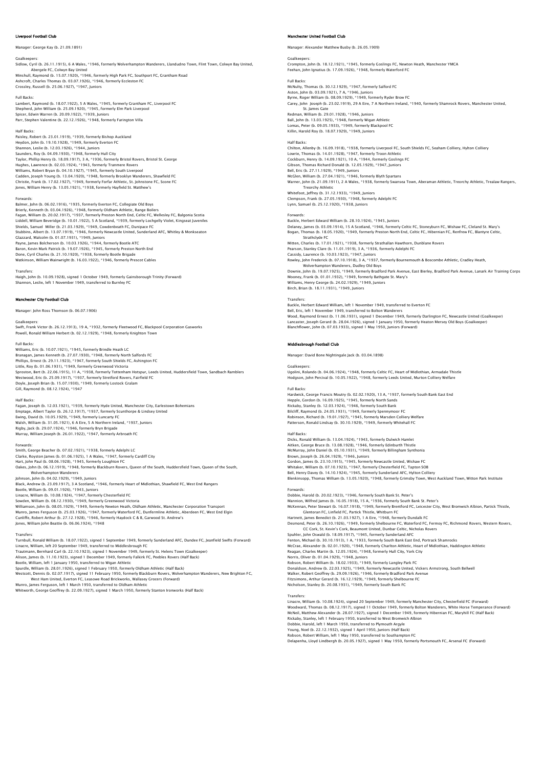# .<br>Dool Football Club

Manager: George Kay (b. 21.09.1891)

# Goalkeepers: Sidlow, Cyril (b. 26.11.1915), 6 A Wales, \*1946, formerly Wolverhampton Wanderers, Llandudno Town, Flint Town, Colwyn Bay United, Abergele FC, Colwyn Bay United Minshull, Raymond (b. 15.07.1920), \*1946, formerly High Park FC, Southport FC, Grantham Road

Ashcroft, Charles Thomas (b. 03.07.1926), \*1946, formerly Eccleston FC Crossley, Russell (b. 25.06.1927), \*1947, Juniors

### Full Backs:

Lambert, Raymond (b. 18.07.1922), 5 A Wales, \*1945, formerly Grantham FC, Liverpool FC Shepherd, John William (b. 25.09.1920), \*1945, formerly Elm Park Liverpool<br>Spicer, Edwin Warren (b. 20.09.1922), \*1939, Juniors<br>Parr, Stephen Valentine (b. 22.12.1926), \*1948, formerly Farington Villa

### Half Backs:

Paisley, Robert (b. 23.01.1919), \*1939, formerly Bishop Auckland<br>Heydon, John (b. 19.10.1928), \*1949, formerly Everton FC<br>Shannon, Leslie (b. 12.03.1926), \*1944, Juniors<br>Saunders, Roy (b. 04.09.1930), \*1944, Juniors<br>Taylor Hughes, Lawrence (b. 02.03.1924), \*1943, formerly Trammere Rovers<br>Williams, Robert Bryan (b. 04.10.1927), \*1945, formerly South Liverpool<br>Cadden, Joseph Young (b. 13.04.1920), \*1948, formerly Brooklyn Wanderers, Shawfield

Forwards:<br>Balmer, John (b. 06.02.1916), \*1935, formerly Everton FC, Collegiate Old Boys<br>Brierly, Kenneth (b. 03.04.1926), \*1948, formerly Oldham Athletic, Range Boilers<br>Faqan, William (b. 20.02.1917), \*1937, formerly Prest Liddell, William Beveridge (b. 10.01.1922), 5 A Scotland, \*1939, formerly Lochgelly Violet, Kingseat Juveniles Shields, Samuel Miller (b. 21.03.1929), \*1949, Cowdenbeath FC, Dunipace FC<br>Stubbins, Albert (b. 13.07.1919), \*1946, formerly Newcastle United, Sunderland AFC, Whitley & Monkseaton<br>Glazzard, Malcolm (b. 01.07.1931), \*1949, Baron, Kevin Mark Patrick (b. 19.07.1926), \*1945, formerly Preston North End Done, Cyril Charles (b. 21.10.1920), \*1938, formerly Bootle Brigade Watkinson, William Wainwright (b. 16.03.1922), \*1946, formerly Prescot Cables

### Transfers:

Haigh, John (b. 10.09.1928), signed 1 October 1949, formerly Gainsborough Trinity (Forward) Shannon, Leslie, left 1 November 1949, transferred to Burnley FC

# **ster City Football Club**

Manager: John Ross Thomson (b. 06.07.1906)

Goalkeepers: Swift, Frank Victor (b. 26.12.1913), 19 A, \*1932, formerly Fleetwood FC, Blackpool Corporation Gasworks Powell, Ronald William Herbert (b. 02.12.1929), \*1948, formerly Knighton Town

# Full Backs:

Williams, Eric (b. 10.07.1921), \*1945, formerly Brindle Heath LC Branagan, James Kenneth (b. 27.07.1930), \*1948, formerly North Salfords FC Phillips, Ernest (b. 29.11.1923), \*1947, formerly South Shields FC, Ashington FC Little, Roy (b. 01.06.1931), \*1949, formerly Greenwood Victoria<br>Sproston, Bert (b. 22.06.1915), 11 A, \*1938, formerly Tottenham Hotspur, Leeds United, Huddersfield Town, Sandbach Ramblers<br>Westwood, Eric (b. 25.09.1917), \*1

### Half Backs:

Fagan, Joseph (b. 12.03.1921), \*1939, formerly Hyde United, Manchester City, Earlestown Bohemians<br>Emptage, Albert Taylor (b. 26.12.1917), \*1937, formerly Scunthorpe & Lindsey United<br>Ewing, David (b. 10.05.1929), \*1949, for Rigby, Jack (b. 29.07.1924), \*1946, formerly Bryn Brigade Murray, William Joseph (b. 26.01.1922), \*1947, formerly Arbroath FC

Forwards: Smith, George Beacher (b. 07.02.1921), \*1938, formerly Adelphi LC Clarke, Royston James (b. 01.06.1925), 1 A Wales, \*1947, formerly Cardiff City Hart, John Paul (b. 08.06.1928), \*1945, formerly Loughton FC<br>Oakes, John (b. 06.12.1919), \*1948, formerly Blackburn Rovers, Queen of the South, Huddersfield Town, Queen of the South,<br>Johnson, John (b. 04.02.1929), \*1949, J Bootle, William (b. 09.01.1926), \*1943, Juniors Linacre, William (b. 10.08.1924), \*1947, formerly Chesterfield FC

Sowden, William (b. 08.12.1930), \*1949, formerly Greenwood Victoria<br>Williamson, John (b. 08.05.1929), \*1949, formerly Newton Heath, Oldham Athletic, Manchester Corporation Transport<br>Munro, James Ferguson (b. 25.03.1926), \* Jones, William John Beattie (b. 06.06.1924), \*1948

Transfers:<br>Turnbull, Ronald William (b. 18.07.1922), signed 1 September 1949, formerly Sunderland AFC, Dundee FC, Jeanfield Swifts (Forward)<br>Linacre, William, left 20 September 1949, transferred to Middlesbrough FC Trautmann, Bernhard Carl (b. 22.10.1923), signed 1 November 1949, formerly St. Helens Town (Goalkeeper)

Alison, James (b. 11.10.1923), signed 1 December 1949, formerly Falkirk FC, Peebles Rovers (Half Back)<br>Bootle, William, left 1 January 1950, transferred to Wigan Athleic<br>Spurdle, William, (b. 28.0.1.1926), signed 1 Februar West Ham United, Everton FC, Leasowe Road Brickworks, Wallasey Grocers (Forward)

Munro, James Ferguson, left 1 March 1950, transferred to Oldham Athletic Whitworth, George Geoffrey (b. 22.09.1927), signed 1 March 1950, formerly Stanton Ironworks (Half Back)

# er United Football Club

Manager: Alexander Matthew Busby (b. 26.05.1909)

# Goalkeepers:<br>Crompton, John (b. 18.12.1921), \*1945, formerly Goslings FC, Newton Heath, Manchester YMCA<br>Feehan, John Ignatius (b. 17.09.1926), \*1948, formerly Waterford FC

Full Backs: McNulty, Thomas (b. 30.12.1929), \*1947, formerly Salford FC Aston, John (b. 03.09.1921), 7 A, \*1946, Juniors Byrne, Roger William (b. 08.09.1929), \*1949, formerly Ryder Brow FC

Carey, John Joseph (b. 23.02.1919), 29 A Eire, 7 A Northern Ireland, \*1940, formerly Shamrock Rovers, Manchester United,

St. James Gate<br>Redman, William (b. 29.01.1928), \*1946, Juniors<br>Ball, John (b. 13.03.1925), \*1948, formerly Wigan Athletic<br>Lomas, Peter (b. 09.05.1933), \*1949, formerly Blackpool FC Killin, Harold Roy (b. 18.07.1929), \*1949, Juniors

Half Backs:<br>Chilton, Allenby (b. 16.09.1918), \*1938, formerly Liverpool FC, South Shields FC, Seaham Colliery, Hylton Colliery<br>Lowrie, Thomas (b. 14.01.1928), \*1947, formerly Troon Athletic<br>Cockburn, Henry (b. 14.09.1921), Gibson, Thomas Richard Donald (b. 12.05.1929), \*1947, Juniors Bell, Eric (b. 27.11.1929), \*1949, Juniors<br>McGlen, William (b. 27.04.1921), \*1946, formerly Blyth Spartans<br>Warner, John (b. 21.09.1911), 2 A Wales, \*1938, formerly Swansea Town, Aberaman Athletic, Treorchy Athletic, Treala **Treorchy Athletic** Whitefoot, Jeffrey (b. 31.12.1933), \*1949, Juniors Clempson, Frank (b. 27.05.1930), \*1948, formerly Adelphi FC Lynn, Samuel (b. 25.12.1920), \*1938, Juniors Forwards:

Buckle, Herbert Edward William (b. 28.10.1924), \*1945, Juniors<br>Delaney, James (b. 03.09.1914), 15 A Scotland, \*1946, formerly Celtic FC, Stoneyburn FC, Wishaw FC, Cleland St. Mary's<br>Bogan, Thomas (b. 18.05.1920), \*1949, fo Bogan, Thomas (b. 18.05.1920), "1949, tormerly Preston North End, Cetter PC, Fluestinean<br>Strathclyde FC<br>Mitten, Charles (b. 17.01.1921), "1938, formerly Strathallan Hawthorn, Dunblane Rovers Pearson, Stanley Clare (b. 11.01.1919), 3 A, \*1936, formerly Adelphi FC Cassidy, Laurence (b. 10.03.1923), \*1947, Juniors Rowley, John Frederick (b. 07.10.1918), 3 A, \*1937, formerly Bournemouth & Boscombe Athletic, Cradley Heath,<br>Wolverhampton Wanderers, Dudley Old Boys<br>Downie, John (b. 19.07.1925), \*1949, formerly Bradford Park Avenue, East Mooney, Frank (b. 01.01.1932), \*1949, formerly Bathgate St. Mary's Williams, Henry George (b. 24.02.1929), \*1949, Juniors Birch, Brian (b. 18.11.1931), \*1949, Juniors Transfers:

Buckle, Herbert Edward William, left 1 November 1949, transferred to Everton FC Bell, Eric, left 1 November 1949, transferred to Bolton Wanderers Wood, Raymond Ernest (b. 11.06.1931), signed 1 December 1949, formerly Darlington FC, Newcastle United (Goalkeeper)<br>Lancaster, Joseph Gerard (b. 28.04.1926), signed 1 January 1950, formerly Heaton Mersey Old Boys (Goalkeep

### Middlesbrough Football Club

Manager: David Bone Nightingale Jack (b. 03.04.1898)

Goalkeepers: Ugolini, Rolando (b. 04.06.1924), \*1948, formerly Celtic FC, Heart of Midlothian, Armadale Thistle Hodgson, John Percival (b. 10.05.1922), \*1948, formerly Leeds United, Murton Colliery Welfa

### Full Backs:

Hardwick, George Francis Moutry (b. 02.02.1920), 13 A, \*1937, formerly South Bank East End Hepple, Cordon (b. 16.09.1925), † 1945, formerly North Sands<br>Rickaby, Stanley (b. 12.03.1924), \*1946, formerly South Bank<br>Bilcliff, Raymond (b. 24.05.1931), \*1949, formerly Spennymoor FC<br>Robinson, Richard (b. 19.01.1927),

### Half Backs:

Dicks, Ronald William (b. 13.04.1924), \*1943, formerly Dulwich Hamlet Aitken, George Bruce (b. 13.08.1928), \*1946, formerly Edinburth Thistle McMurray, John Daniel (b. 05.10.1931), \*1949, formerly Billingham Synthonia Brown, Joseph (b. 26.04.1929), \*1946, Juniors Gordon, James (b. 23.10.1915), \*1945, formerly Newcastle United, Wishaw FC Whitaker, William (b. 07.10.1923), \*1947, formerly Chesterfield FC, Tapton SOB<br>Bell, Henry Davey (b. 14.10.1924), \*1945, formerly Sunderland AFC, Hylton Colliery<br>Blenkinsopp, Thomas William (b. 13.05.1920), \*1948, formerly

Fowards:<br>
Tombie, Harold (b. 20.02.1923), \*1946, formerly South Bank St. Peter's<br>
Mannion, Wilfred James (b. 16.05.1918), 15 A, \*1936, formerly South Bank St. Peter's<br>
Mannion, Wilfred James (b. 16.07.1918), \*1949, formerl McCrae, Alexander (b. 02.01.1920), \*1948, formerly Charlton Athletic, Heart of Midlothian, Haddington Athletic Reagan, Charles Martin (b. 12.05.1924), \*1948, formerly Hull City, York City<br>Norris, Oliver (b. 01.04.1929), \*1948, Juniors<br>Robson, Robert William (b. 18.02.1933), \*1949, formerly Langley Park FC<br>Robson, Robert Geoffrey (b

Nicholson, Stanley (b. 20.08.1931), \*1949, formerly South Bank FC

Transfers: Linacre, William (b. 10.08.1924), signed 20 September 1949, formerly Manchester City, Chesterfield FC (Forward) Woodward, Thomas (b. 08.12.1917), signed 1 1 October 1949, formerly Bolton Wanderers, White Horse Temperance (Forward)<br>McNeli, Matthew Alexander (b. 28.07.1927), signed 1 December 1949, formerly Hibernian FC, Maryhill FC ( Delapenha, Lloyd Lindbergh (b. 20.05.1927), signed 1 May 1950, formerly Portsmouth FC, Arsenal FC (Forward)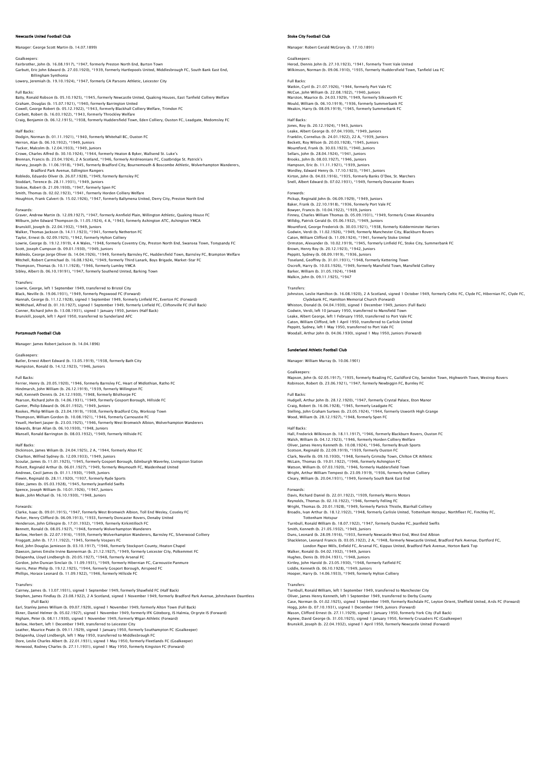# le United Football Club

Manager: George Scott Martin (b. 14.07.1899)

Goalkeepers: Fairbrother, John (b. 16.08.1917), \*1947, formerly Preston North End, Burton Town Garbutt, Eric John Edward (b. 27.03.1920), \*1939, formerly Hartlepools United, Middlesbrough FC, South Bank East End, Billingham Synthonia Lowery, Jeremiah (b. 19.10.1924), \*1947, formerly CA Parsons Athletic, Leicester City

Full Backs: Batty, Ronald Robson (b. 05.10.1925), \*1945, formerly Newcastle United, Quaking Houses, East Tanfield Colliery Welfare Graham, Douglas (b. 15.07.1921), \*1940, formerly Barrington United<br>Cowell, George Robert (b. 05.12.1922), \*1943, formerly Blackhall Colliery Welfare, Trimdon FC<br>Corbett, Robert (b. 16.03.1922), \*1943, formerly Throckley We Half Backs:

Dodgin, Norman (b. 01.11.1921), \* 1940, formerly Whitehall BC, Ouston FC<br>Herron, Alan (b. 06.10.1932), \*1949, Juniors<br>Tucker, Malcolm (b. 12.04.1933), \*1949, Juniors<br>Crowe, Charles Alfred (b. 30.10.1924), ? 4944, formerly Harvey, Joseph (b. 11.06.1918), \*1945, formerly Bradford City, Bournemouth & Boscombe Athletic, Wolverhampton Wanderers, Bradford Park Avenue, Edlington Rangers Robledo, Eduardo Oliver (b. 26.07.1928), \*1949, formerly Barnsley FC Stoddart, Terence (b. 28.11.1931), \*1949, Juniors Stokoe, Robert (b. 21.09.1930), \*1947, formerly Spen FC Smith, Thomas (b. 02.02.1923), \*1941, formerly Horden Colliery Welfare Houghton, Frank Calvert (b. 15.02.1926), \*1947, formerly Ballymena United, Derry City, Preston North End

Forwards: Graver, Andrew Martin (b. 12.09.1927), \*1947, formerly Annfield Plain, Willington Athletic, Quaking House FC Milburn, John Edward Thompson (b. 11.05.1924), 4 A, \*1943, formerly Ashington ATC, Ashington YMCA<br>Brunskill, Joseph (b. 22.04.1932), \*1949, Juniors<br>Walker, Thomas Jackson (b. 14.11.1923), \*1941, formerly Netherton FC<br>Taylo Scott, Joseph Cumpson (b. 09.01.1930), \*1949, Juniors Robledo, George Jorge Oliver (b. 14.04.1926), \*1949, formerly Barnsley FC, Huddersfield Town, Barnsley FC, Brampton Welfare<br>Mitchell, Robert Carmichael (b. 16.08.1924), \*1949, formerly Third Lanark, Boys Brigade, Market-St

**Transfers** 

Lowrie, George, left 1 September 1949, transferred to Bristol City<br>Black, Neville (b. 19.06.1931), \*1949, formerly Pegswood FC (Forward)<br>Hannah, George (b. 11.12.1928), signed 1 September 1949, formerly Linfield FC, Everto McMichael, Alfred (b. 01.10.1927), signed 1 September 1949, formerly Linfield FC, Cliftonville FC (Full Back) Conner, Richard John (b. 13.08.1931), signed 1 January 1950, Juniors (Half Back) Brunskill, Joseph, left 1 April 1950, transferred to Sunderland AFC

### Portsmouth Football Club

Manager: James Robert Jackson (b. 14.04.1896)

Goalkeepers: Butler, Ernest Albert Edward (b. 13.05.1919), \*1938, formerly Bath City Humpston, Ronald (b. 14.12.1923), \*1946, Juniors

Full Backs:<br>Ferrier, Henry (b. 20.05.1920), \*1946, formerly Barnsley FC, Heart of Midlothian, Ratho FC<br>Hindmarsh, John William (b. 26.12.1930), \*1939, formerly Willington FC<br>Hall, Kenneth Dennis (b. 24.12.1930), \*1948, for Mansell, Ronald Barrington (b. 08.03.1932), \*1949, formerly Hillside FC

# Half Backs:

Dickinson, James Wiliam (b. 24.04.1925), 2 A, \*1944, formerly Alton FC Charlton, Wilfred Sydney (b. 12.09.1933), \*1949, Juniors<br>Scoular, James (b. 11.01.1925), \*1945, formerly Gosport Borough, Edinburgh Waverley, Livingston Station<br>Pickett, Reginald Arthur (b. 06.01.1927), \*1949, formerly Wey Spence, Joseph William (b. 10.01.1926), \*1947, Juniors Beale, John Michael (b. 16.10.1930), \*1948, Juniors

Forwards:<br>Clarke, Isaac (b. 09.01.1915), \*1947, formerly West Bromwich Albion, Toll End Wesley, Coseley FC<br>Parker, Henry Clifford (b. 06.09.1913), \*1933, formerly Doncaster Rovers, Denaby United<br>Henderson, John Gillespie ( Bennett, Ronald (b. 08.05.1927), \*1948, formerly Wolverhampton Wanderers<br>Barlow, Herbert (b. 22.07.1916), \*1939, formerly Wolverhampton Wanderers, Barnsley FC, Silverwood Colliery<br>Froggatt, John (b. 17.11.1922), \*1945, for Delapenha, Lloyd Lindbergh (b. 20.05.1927), \*1948, formerly Arsenal FC<br>Gordon, John Duncan Sinclair (b. 11.09.1931), \*1949, formerly Hibernian FC, Carnoustie Panmure<br>Harris, Peter Philip (b. 19.12.1925), \*1944, formerly Go

Transfers:<br>Cairney, James (b. 13.07.1931), signed 1 September 1949, formerly Shawfield FC (Haif Back)<br>Stephen, James Findlay (b. 23.08.1922), 2 A Scotland, signed 1 November 1949, formerly Bradford Park Avenue, Johnshaven (Full Back)

Earl, Stanley James William (b. 09.07.1929), signed 1 November 1949, formerly Alton Town (Full Back)<br>Ekner, Daniel Helmer (b. 05.02.1927), signed 1 November 1949, formerly IFK Göteborg, IS Halmia, Orgryte IS (Forward)<br>High

Dore, Leslie Charles Albert (b. 22.01.1931), signed 1 May 1950, formerly Fleetlands FC (Goalkeeper) Henwood, Rodney Charles (b. 27.11.1931), signed 1 May 1950, formerly Kingston FC (Forward)

# ke City Football Club

Manager: Robert Gerald McGrory (b. 17.10.1891)

# Goalkeepers: Herod, Dennis John (b. 27.10.1923), \*1941, formerly Trent Vale United Wilkinson, Norman (b. 09.06.1910), \*1935, formerly Huddersfield Town, Tanfield Lea FC

Full Backs: Watkin, Cyril (b. 21.07.1926), \*1944, formerly Port Vale FC McCue, John William (b. 22.08.1922), \*1940, Juniors Marston, Maurice (b. 24.03.1929), \*1949, formerly Silksworth FC Mould, William (b. 06.10.1919), \*1936, formerly Summerbank FC Meakin, Harry (b. 08.09.1919), \*1945, formerly Summerbank FC

Half Backs: Jones, Roy (b. 20.12.1924), \*1943, Juniors Leake, Albert George (b. 07.04.1930), \*1949, Juniors Franklin, Cornelius (b. 24.01.1922), 22 A, \*1939, Juniors Beckett, Roy Wilson (b. 20.03.1928), \*1945, Juniors Mountford, Frank (b. 30.03.1923), \*1940, Juniors Sellars, John (b. 28.04.1924), \*1941, Juniors Brooks, John (b. 08.03.1927), \*1946, Juniors Hampson, Eric (b. 11.11.1921), \*1939, Juniors Wordley, Edward Henry (b. 17.10.1923), \*1941, Juniors Kirton, John (b. 04.03.1916), \*1935, formerly Banks O'Dee, St. Marchers Snell, Albert Edward (b. 07.02.1931), \*1949, formerly Doncaster Rovers

# Forwards:

Pickup, Reginald John (b. 06.09.1929), \*1949, Juniors<br>Baker, Frank (b. 22.10.1918), \*1936, formerly Port Vale FC<br>Bowyer, Francis (b. 10.04.1922), \*1939, Juniors<br>Finney, Charles William Thomas (b. 05.09.1931), \*1949, former Willdig, Patrick Gerald (b. 05.06.1932), \*1949, Juniors Mountford, George Frederick (b. 30.03.1921), \*1938, formerly Kidderminster Harriers<br>Godwin, Verdi (b. 11.02.1926), \*1949, formerly Manchester City, Blackburn Rovers<br>Caton, William Clifford (b. 11.09.1924), \*1941, formerly Brown, Henry Roy (b. 20.12.1923), \*1942, Juniors Peppitt, Sydney (b. 08.09.1919), \*1936, Juniors Toseland, Geoffrey (b. 31.01.1931), \*1948, formerly Kettering Town<br>Oscroft, Harry (b. 10.03.1926), \*1949, formerly Mansfield Town, Mansfield Colliery<br>Barker, William (b. 31.05.1924), \*1948 Malkin, John (b. 09.11.1925), \*1947

Transfers: Johnston, Leslie Hamilton (b. 16.08.1920), 2 A Scotland, signed 1 October 1949, formerly Celtic FC, Clyde FC, Hibernian FC, Clyde FC, Clydebank FC, Hamilton Memorial Church (Forward) Whiston, Donald (b. 04.04.1930), signed 1 December 1949, Juniors (Full Back) Godwin, Verdi, left 10 January 1950, transferred to Mansfield Town Leake, Albert George, left 1 February 1950, transferred to Port Vale FC Caton, William Clifford, left 1 April 1950, transferred to Carlisle United Peppitt, Sydney, left 1 May 1950, transferred to Port Vale FC Woodall, Arthur John (b. 04.06.1930), signed 1 May 1950, Juniors (Forward)

### Sunderland Athletic Football Club

Manager: William Murray (b. 10.06.1901)

### Goalkeepers:

Mapson, John (b. 02.05.1917), \*1935, formerly Reading FC, Guildford City, Swindon Town, Highworth Town, Westrop Rovers<br>Robinson, Robert (b. 23.06.1921), \*1947, formerly Newbiggin FC, Burnley FC

### Full Backs:

Hudgell, Arthur John (b. 28.12.1920), \*1947, formerly Crystal Palace, Eton Manor Craig, Robert (b. 16.06.1928), \*1945, formerly Leadgate FC<br>Stelling, John Graham Surtees (b. 23.05.1924), \*1944, formerly Usworth High Grange<br>Wood, William (b. 28.12.1927), \*1948, formerly Spen FC

### Half Backs:

Hall, Frederick Wilkinson (b. 18.11.1917), \*1946, formerly Blackburn Rovers, Ouston FC Walsh, William (b. 04.12.1923), \*1946, formerly Horden Colliery Welfare<br>Oliver, James Henry Kenneth (b. 10.08.1924), \*1946, formerly Brush Sports<br>Scotson, Reginald (b. 22.09.1919), \*1939, formerly Ouston FC<br>Clark, Neville McLain, Thomas (b. 19.01.1922), \*1946, formerly Ashington FC<br>Watson, William (b. 07.03.1920), \*1946, formerly Huddersfield Town<br>Wright, Arthur William Tempest (b. 23.09.1919), \*1936, formerly Hylton Colliery<br>Cleary, Willia

### Forwards:

Davis, Richard Daniel (b. 22.01.1922), \*1939, formerly Morris Motors Reynolds, Thomas (b. 02.10.1922), \*1946, formerly Felling FC<br>Wright, Thomas (b. 20.01.1928), \*1949, formerly Partick Thistle, Blairhall Colliery<br>Broadis, Ivan Arthur (b. 18.12.1922), \*1948, formerly Carlisle United, Totten Tottenham Hotspur Turnbull, Ronald William (b. 18.07.1922), \*1947, formerly Dundee FC, Jeanfield Swifts Smith, Kenneth (b. 21.05.1932), \*1949, Juniors<br>Duns, Leonard (b. 28.09.1916), \*1933, formerly Newcastle West End, West End Albion<br>Shackleton, Leonard Francis (b. 03.05.1922), 2 A, \*1948, formerly Newcastle United, Bradford Walker, Ronald (b. 04.02.1932), +1949, Juniors<br>Hughes, Denis (b. 09.04.1931), \*1948, Juniors<br>Kirtley, John Harold (b. 23.05.1930), \*1948, formerly Fatfield FC<br>Liddle, Kenneth (b. 06.10.1938), \*1949, formerly Hylton Collier

Transfers:<br>Turnbull, Ronald William, left 1 September 1949, transferred to Manchester City<br>Oliver, James Henry Kenneth, left 1 September 1949, transferred to Derby County<br>Case, Norman (b. 01.02.1925), signed 1 September 19 Hogg, John (b. 07.10.1931), signed 1 December 1949, Juniors (Forward)<br>Mason, Clifford Ernest (b. 27.11.1929), signed 1 January 1950, formerly York City (Full Back)<br>Agnew, David Ceorge (b. 31.03.1925), signed 1 January 1950